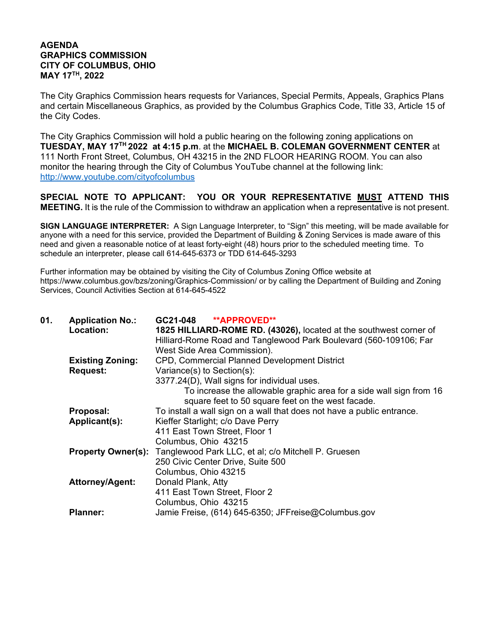## **AGENDA GRAPHICS COMMISSION CITY OF COLUMBUS, OHIO MAY 17TH, 2022**

The City Graphics Commission hears requests for Variances, Special Permits, Appeals, Graphics Plans and certain Miscellaneous Graphics, as provided by the Columbus Graphics Code, Title 33, Article 15 of the City Codes.

The City Graphics Commission will hold a public hearing on the following zoning applications on **TUESDAY, MAY 17TH 2022 at 4:15 p.m**. at the **MICHAEL B. COLEMAN GOVERNMENT CENTER** at 111 North Front Street, Columbus, OH 43215 in the 2ND FLOOR HEARING ROOM. You can also monitor the hearing through the City of Columbus YouTube channel at the following link: http://www.youtube.com/cityofcolumbus

**SPECIAL NOTE TO APPLICANT: YOU OR YOUR REPRESENTATIVE MUST ATTEND THIS MEETING.** It is the rule of the Commission to withdraw an application when a representative is not present.

**SIGN LANGUAGE INTERPRETER:** A Sign Language Interpreter, to "Sign" this meeting, will be made available for anyone with a need for this service, provided the Department of Building & Zoning Services is made aware of this need and given a reasonable notice of at least forty-eight (48) hours prior to the scheduled meeting time. To schedule an interpreter, please call 614-645-6373 or TDD 614-645-3293

Further information may be obtained by visiting the City of Columbus Zoning Office website at https://www.columbus.gov/bzs/zoning/Graphics-Commission/ or by calling the Department of Building and Zoning Services, Council Activities Section at 614-645-4522

| 01. | <b>Application No.:</b> | GC21-048 **APPROVED**                                                         |
|-----|-------------------------|-------------------------------------------------------------------------------|
|     | Location:               | 1825 HILLIARD-ROME RD. (43026), located at the southwest corner of            |
|     |                         | Hilliard-Rome Road and Tanglewood Park Boulevard (560-109106; Far             |
|     |                         | West Side Area Commission).                                                   |
|     | <b>Existing Zoning:</b> | <b>CPD, Commercial Planned Development District</b>                           |
|     | <b>Request:</b>         | Variance(s) to Section(s):                                                    |
|     |                         | 3377.24(D), Wall signs for individual uses.                                   |
|     |                         | To increase the allowable graphic area for a side wall sign from 16           |
|     |                         | square feet to 50 square feet on the west facade.                             |
|     | Proposal:               | To install a wall sign on a wall that does not have a public entrance.        |
|     | Applicant(s):           | Kieffer Starlight; c/o Dave Perry                                             |
|     |                         | 411 East Town Street, Floor 1                                                 |
|     |                         | Columbus, Ohio 43215                                                          |
|     |                         | <b>Property Owner(s):</b> Tanglewood Park LLC, et al; c/o Mitchell P. Gruesen |
|     |                         | 250 Civic Center Drive, Suite 500                                             |
|     |                         | Columbus, Ohio 43215                                                          |
|     | <b>Attorney/Agent:</b>  | Donald Plank, Atty                                                            |
|     |                         | 411 East Town Street, Floor 2                                                 |
|     |                         | Columbus, Ohio 43215                                                          |
|     | <b>Planner:</b>         | Jamie Freise, (614) 645-6350; JFFreise@Columbus.gov                           |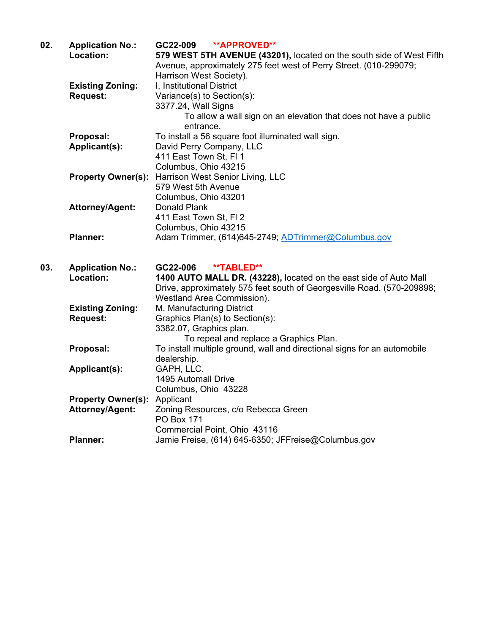| 02. | <b>Application No.:</b><br>Location: | GC22-009<br><b>**APPROVED**</b><br>579 WEST 5TH AVENUE (43201), located on the south side of West Fifth |
|-----|--------------------------------------|---------------------------------------------------------------------------------------------------------|
|     |                                      | Avenue, approximately 275 feet west of Perry Street. (010-299079;                                       |
|     |                                      | Harrison West Society).                                                                                 |
|     | <b>Existing Zoning:</b>              | I, Institutional District                                                                               |
|     | <b>Request:</b>                      | Variance(s) to Section(s):                                                                              |
|     |                                      | 3377.24, Wall Signs                                                                                     |
|     |                                      | To allow a wall sign on an elevation that does not have a public                                        |
|     |                                      | entrance.                                                                                               |
|     | Proposal:                            | To install a 56 square foot illuminated wall sign.                                                      |
|     | Applicant(s):                        | David Perry Company, LLC                                                                                |
|     |                                      | 411 East Town St, FI 1                                                                                  |
|     |                                      | Columbus, Ohio 43215                                                                                    |
|     | <b>Property Owner(s):</b>            | Harrison West Senior Living, LLC                                                                        |
|     |                                      | 579 West 5th Avenue                                                                                     |
|     |                                      | Columbus, Ohio 43201                                                                                    |
|     | <b>Attorney/Agent:</b>               | <b>Donald Plank</b>                                                                                     |
|     |                                      | 411 East Town St, FI 2                                                                                  |
|     |                                      | Columbus, Ohio 43215                                                                                    |
|     | <b>Planner:</b>                      | Adam Trimmer, (614)645-2749; ADTrimmer@Columbus.gov                                                     |
| 03. | <b>Application No.:</b>              | GC22-006<br>**TABLED**                                                                                  |
|     | Location:                            | 1400 AUTO MALL DR. (43228), located on the east side of Auto Mall                                       |
|     |                                      |                                                                                                         |
|     |                                      | Drive, approximately 575 feet south of Georgesville Road. (570-209898;                                  |
|     |                                      | Westland Area Commission).                                                                              |
|     | <b>Existing Zoning:</b>              | M, Manufacturing District                                                                               |
|     | <b>Request:</b>                      | Graphics Plan(s) to Section(s):                                                                         |
|     |                                      | 3382.07, Graphics plan.                                                                                 |
|     |                                      | To repeal and replace a Graphics Plan.                                                                  |
|     | Proposal:                            | To install multiple ground, wall and directional signs for an automobile                                |
|     |                                      | dealership.                                                                                             |
|     | Applicant(s):                        | GAPH, LLC.                                                                                              |
|     |                                      | 1495 Automall Drive                                                                                     |
|     |                                      | Columbus, Ohio 43228                                                                                    |
|     | <b>Property Owner(s):</b>            | Applicant                                                                                               |
|     | Attorney/Agent:                      | Zoning Resources, c/o Rebecca Green                                                                     |
|     |                                      | <b>PO Box 171</b>                                                                                       |
|     | <b>Planner:</b>                      | Commercial Point, Ohio 43116<br>Jamie Freise, (614) 645-6350; JFFreise@Columbus.gov                     |